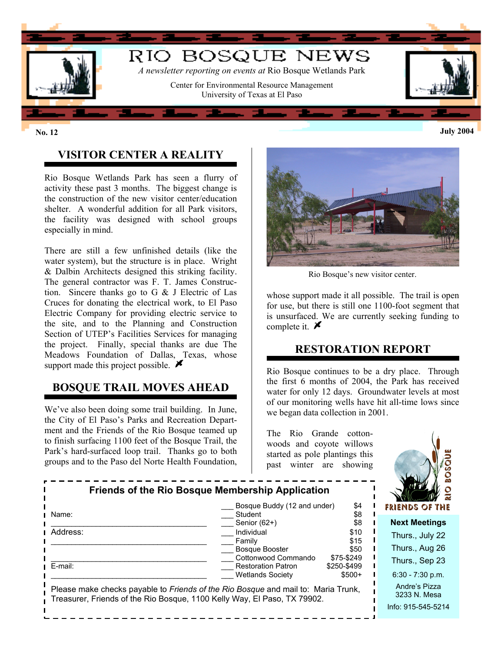

## **VISITOR CENTER A REALITY**

Rio Bosque Wetlands Park has seen a flurry of activity these past 3 months. The biggest change is the construction of the new visitor center/education shelter. A wonderful addition for all Park visitors, the facility was designed with school groups especially in mind.

There are still a few unfinished details (like the water system), but the structure is in place. Wright & Dalbin Architects designed this striking facility. The general contractor was F. T. James Construction. Sincere thanks go to G & J Electric of Las Cruces for donating the electrical work, to El Paso Electric Company for providing electric service to the site, and to the Planning and Construction Section of UTEP's Facilities Services for managing the project. Finally, special thanks are due The Meadows Foundation of Dallas, Texas, whose support made this project possible.  $\blacktriangleright$ 

#### **BOSQUE TRAIL MOVES AHEAD**

We've also been doing some trail building. In June, the City of El Paso's Parks and Recreation Department and the Friends of the Rio Bosque teamed up to finish surfacing 1100 feet of the Bosque Trail, the Park's hard-surfaced loop trail. Thanks go to both groups and to the Paso del Norte Health Foundation,



Rio Bosque's new visitor center.

whose support made it all possible. The trail is open for use, but there is still one 1100-foot segment that is unsurfaced. We are currently seeking funding to complete it.  $\blacktriangleright$ 

#### **RESTORATION REPORT**

Rio Bosque continues to be a dry place. Through the first 6 months of 2004, the Park has received water for only 12 days. Groundwater levels at most of our monitoring wells have hit all-time lows since we began data collection in 2001.

The Rio Grande cottonwoods and coyote willows started as pole plantings this past winter are showing



| Bosque Buddy (12 and under)<br>\$4                                                                                                                            | FRIENDS OF THE                                      |
|---------------------------------------------------------------------------------------------------------------------------------------------------------------|-----------------------------------------------------|
| \$8<br>Student<br>Name:<br>\$8<br>Senior (62+)                                                                                                                | <b>Next Meetings</b>                                |
| Address:<br>Individual<br>\$10<br>\$15<br>Family                                                                                                              | Thurs., July 22                                     |
| \$50<br><b>Bosque Booster</b>                                                                                                                                 | Thurs., Aug 26                                      |
| Cottonwood Commando<br>\$75-\$249<br>E-mail:<br><b>Restoration Patron</b><br>\$250-\$499                                                                      | Thurs., Sep 23                                      |
| $$500+$<br><b>Wetlands Society</b>                                                                                                                            | $6:30 - 7:30$ p.m.                                  |
| Please make checks payable to Friends of the Rio Bosque and mail to: Maria Trunk,<br>Treasurer, Friends of the Rio Bosque, 1100 Kelly Way, El Paso, TX 79902. | Andre's Pizza<br>3233 N. Mesa<br>Info: 915-545-5214 |